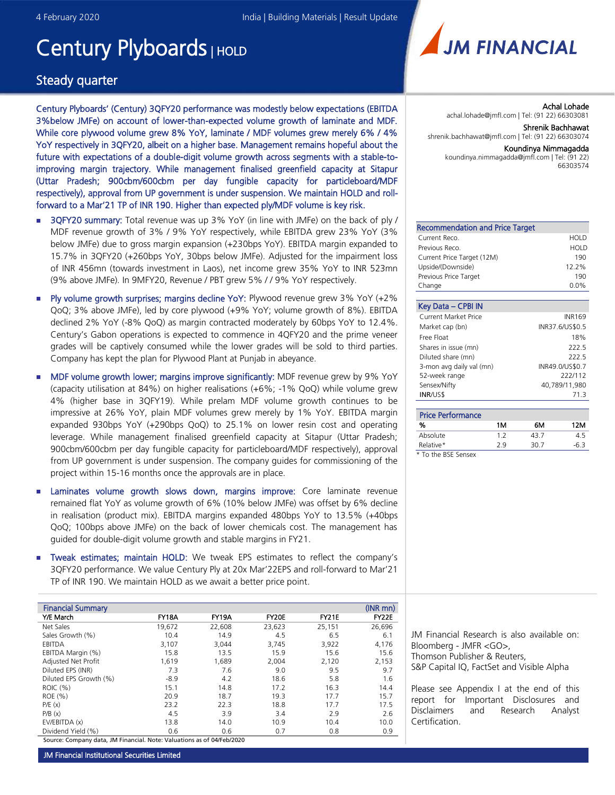# Century Plyboards | HOLD

### Steady quarter

Century Plyboards' (Century) 3QFY20 performance was modestly below expectations (EBITDA 3%below JMFe) on account of lower-than-expected volume growth of laminate and MDF. While core plywood volume grew 8% YoY, laminate / MDF volumes grew merely 6% / 4% YoY respectively in 3QFY20, albeit on a higher base. Management remains hopeful about the future with expectations of a double-digit volume growth across segments with a stable-toimproving margin trajectory. While management finalised greenfield capacity at Sitapur (Uttar Pradesh; 900cbm/600cbm per day fungible capacity for particleboard/MDF respectively), approval from UP government is under suspension. We maintain HOLD and rollforward to a Mar'21 TP of INR 190. Higher than expected ply/MDF volume is key risk.

- **3QFY20 summary:** Total revenue was up 3% YoY (in line with JMFe) on the back of ply / MDF revenue growth of 3% / 9% YoY respectively, while EBITDA grew 23% YoY (3% below JMFe) due to gross margin expansion (+230bps YoY). EBITDA margin expanded to 15.7% in 3QFY20 (+260bps YoY, 30bps below JMFe). Adjusted for the impairment loss of INR 456mn (towards investment in Laos), net income grew 35% YoY to INR 523mn (9% above JMFe). In 9MFY20, Revenue / PBT grew 5% / / 9% YoY respectively.
- Ply volume growth surprises; margins decline YoY: Plywood revenue grew 3% YoY (+2% QoQ; 3% above JMFe), led by core plywood (+9% YoY; volume growth of 8%). EBITDA declined 2% YoY (-8% QoQ) as margin contracted moderately by 60bps YoY to 12.4%. Century's Gabon operations is expected to commence in 4QFY20 and the prime veneer grades will be captively consumed while the lower grades will be sold to third parties. Company has kept the plan for Plywood Plant at Punjab in abeyance.
- MDF volume growth lower; margins improve significantly: MDF revenue grew by 9% YoY (capacity utilisation at 84%) on higher realisations (+6%; -1% QoQ) while volume grew 4% (higher base in 3QFY19). While prelam MDF volume growth continues to be impressive at 26% YoY, plain MDF volumes grew merely by 1% YoY. EBITDA margin expanded 930bps YoY (+290bps QoQ) to 25.1% on lower resin cost and operating leverage. While management finalised greenfield capacity at Sitapur (Uttar Pradesh; 900cbm/600cbm per day fungible capacity for particleboard/MDF respectively), approval from UP government is under suspension. The company guides for commissioning of the project within 15-16 months once the approvals are in place.
- **E** Laminates volume growth slows down, margins improve: Core laminate revenue remained flat YoY as volume growth of 6% (10% below JMFe) was offset by 6% decline in realisation (product mix). EBITDA margins expanded 480bps YoY to 13.5% (+40bps QoQ; 100bps above JMFe) on the back of lower chemicals cost. The management has guided for double-digit volume growth and stable margins in FY21.
- **Tweak estimates; maintain HOLD:** We tweak EPS estimates to reflect the company's 3QFY20 performance. We value Century Ply at 20x Mar'22EPS and roll-forward to Mar'21 TP of INR 190. We maintain HOLD as we await a better price point.

| <b>Financial Summary</b> |        |              |        |        | $(NR$ mn $)$ |
|--------------------------|--------|--------------|--------|--------|--------------|
| Y/E March                | FY18A  | <b>FY19A</b> | FY20E  | FY21E  | FY22E        |
| Net Sales                | 19,672 | 22,608       | 23,623 | 25,151 | 26,696       |
| Sales Growth (%)         | 10.4   | 14.9         | 4.5    | 6.5    | 6.1          |
| EBITDA                   | 3.107  | 3,044        | 3,745  | 3,922  | 4,176        |
| EBITDA Margin (%)        | 15.8   | 13.5         | 15.9   | 15.6   | 15.6         |
| Adjusted Net Profit      | 1,619  | 1,689        | 2,004  | 2,120  | 2,153        |
| Diluted EPS (INR)        | 7.3    | 7.6          | 9.0    | 9.5    | 9.7          |
| Diluted EPS Growth (%)   | $-8.9$ | 4.2          | 18.6   | 5.8    | 1.6          |
| ROIC (%)                 | 15.1   | 14.8         | 17.2   | 16.3   | 14.4         |
| ROE (%)                  | 20.9   | 18.7         | 19.3   | 17.7   | 15.7         |
| P/E(x)                   | 23.2   | 22.3         | 18.8   | 17.7   | 17.5         |
| P/B(x)                   | 4.5    | 3.9          | 3.4    | 2.9    | 2.6          |
| EV/EBITDA (x)            | 13.8   | 14.0         | 10.9   | 10.4   | 10.0         |
| Dividend Yield (%)       | 0.6    | 0.6          | 0.7    | 0.8    | 0.9          |

Source: Company data, JM Financial. Note: Valuations as of 04/Feb/2020



Achal Lohade achal.lohade@jmfl.com | Tel: (91 22) 66303081 Shrenik Bachhawat

shrenik.bachhawat@jmfl.com | Tel: (91 22) 66303074

#### Koundinya Nimmagadda

koundinya.nimmagadda@jmfl.com | Tel: (91 22) 66303574

| <b>Recommendation and Price Target</b> |       |
|----------------------------------------|-------|
| Current Reco.                          | HOLD  |
| Previous Reco.                         | HOLD  |
| Current Price Target (12M)             | 190   |
| Upside/(Downside)                      | 12.2% |
| Previous Price Target                  | 190   |
| Change                                 | 0.0%  |

| Key Data - CPBI IN          |                 |
|-----------------------------|-----------------|
| <b>Current Market Price</b> | <b>INR169</b>   |
| Market cap (bn)             | INR37.6/US\$0.5 |
| Free Float                  | 18%             |
| Shares in issue (mn)        | 222.5           |
| Diluted share (mn)          | 222.5           |
| 3-mon avg daily val (mn)    | INR49.0/US\$0.7 |
| 52-week range               | 222/112         |
| Sensex/Nifty                | 40,789/11,980   |
| <b>INR/US\$</b>             | 71 R            |

| <b>Price Performance</b> |     |      |     |
|--------------------------|-----|------|-----|
| %                        | 1M  | 6М   | 12M |
| Absolute                 | 12  | 43 7 | 45  |
| Relative*                | 2 g | 30.7 | -63 |

*\* To the BSE Sensex*

JM Financial Research is also available on: Bloomberg - JMFR <GO>, Thomson Publisher & Reuters, S&P Capital IQ, FactSet and Visible Alpha

Please see Appendix I at the end of this report for Important Disclosures and Disclaimers and Research Analyst Certification.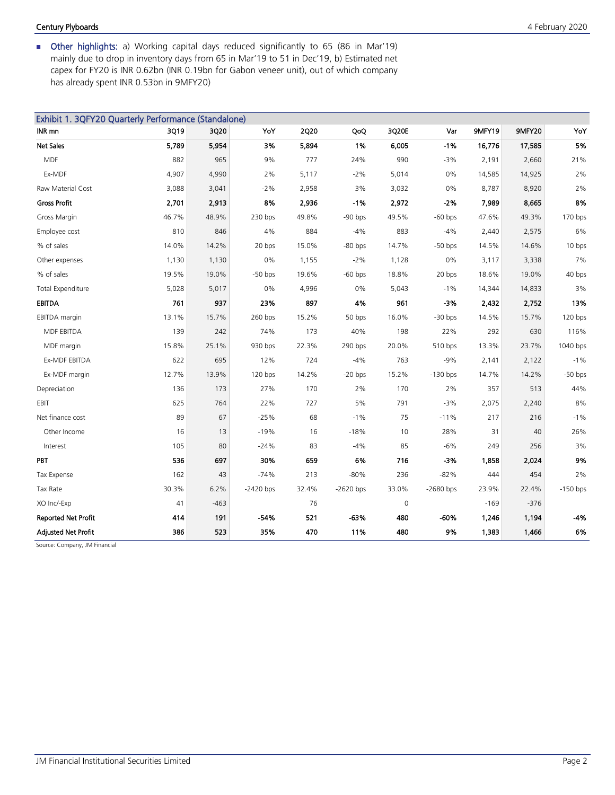### Century Plyboards 4 February 2020

 Other highlights: a) Working capital days reduced significantly to 65 (86 in Mar'19) mainly due to drop in inventory days from 65 in Mar'19 to 51 in Dec'19, b) Estimated net capex for FY20 is INR 0.62bn (INR 0.19bn for Gabon veneer unit), out of which company has already spent INR 0.53bn in 9MFY20)

| Exhibit 1. 3QFY20 Quarterly Performance (Standalone) |       |        |             |             |             |       |             |        |        |            |
|------------------------------------------------------|-------|--------|-------------|-------------|-------------|-------|-------------|--------|--------|------------|
| INR mn                                               | 3Q19  | 3Q20   | YoY         | <b>2Q20</b> | QoQ         | 3Q20E | Var         | 9MFY19 | 9MFY20 | YoY        |
| Net Sales                                            | 5,789 | 5,954  | 3%          | 5,894       | 1%          | 6,005 | $-1%$       | 16,776 | 17,585 | 5%         |
| <b>MDF</b>                                           | 882   | 965    | 9%          | 777         | 24%         | 990   | $-3%$       | 2,191  | 2,660  | 21%        |
| Ex-MDF                                               | 4,907 | 4,990  | 2%          | 5,117       | $-2%$       | 5,014 | 0%          | 14,585 | 14,925 | 2%         |
| Raw Material Cost                                    | 3,088 | 3,041  | $-2%$       | 2,958       | 3%          | 3,032 | 0%          | 8,787  | 8,920  | 2%         |
| <b>Gross Profit</b>                                  | 2,701 | 2,913  | 8%          | 2,936       | $-1%$       | 2,972 | $-2%$       | 7,989  | 8,665  | 8%         |
| Gross Margin                                         | 46.7% | 48.9%  | 230 bps     | 49.8%       | $-90$ bps   | 49.5% | $-60$ bps   | 47.6%  | 49.3%  | 170 bps    |
| Employee cost                                        | 810   | 846    | 4%          | 884         | $-4%$       | 883   | $-4%$       | 2,440  | 2,575  | 6%         |
| % of sales                                           | 14.0% | 14.2%  | 20 bps      | 15.0%       | $-80$ bps   | 14.7% | $-50$ bps   | 14.5%  | 14.6%  | 10 bps     |
| Other expenses                                       | 1,130 | 1,130  | 0%          | 1,155       | $-2%$       | 1,128 | 0%          | 3,117  | 3,338  | 7%         |
| % of sales                                           | 19.5% | 19.0%  | $-50$ bps   | 19.6%       | $-60$ bps   | 18.8% | 20 bps      | 18.6%  | 19.0%  | 40 bps     |
| <b>Total Expenditure</b>                             | 5,028 | 5,017  | 0%          | 4,996       | 0%          | 5,043 | $-1%$       | 14,344 | 14,833 | 3%         |
| <b>EBITDA</b>                                        | 761   | 937    | 23%         | 897         | 4%          | 961   | -3%         | 2,432  | 2,752  | 13%        |
| <b>EBITDA</b> margin                                 | 13.1% | 15.7%  | 260 bps     | 15.2%       | 50 bps      | 16.0% | $-30$ bps   | 14.5%  | 15.7%  | 120 bps    |
| MDF EBITDA                                           | 139   | 242    | 74%         | 173         | 40%         | 198   | 22%         | 292    | 630    | 116%       |
| MDF margin                                           | 15.8% | 25.1%  | 930 bps     | 22.3%       | 290 bps     | 20.0% | 510 bps     | 13.3%  | 23.7%  | 1040 bps   |
| Ex-MDF EBITDA                                        | 622   | 695    | 12%         | 724         | $-4%$       | 763   | $-9%$       | 2,141  | 2,122  | $-1%$      |
| Ex-MDF margin                                        | 12.7% | 13.9%  | $120$ bps   | 14.2%       | $-20$ bps   | 15.2% | $-130$ bps  | 14.7%  | 14.2%  | $-50$ bps  |
| Depreciation                                         | 136   | 173    | 27%         | 170         | 2%          | 170   | 2%          | 357    | 513    | 44%        |
| EBIT                                                 | 625   | 764    | 22%         | 727         | 5%          | 791   | $-3%$       | 2,075  | 2,240  | 8%         |
| Net finance cost                                     | 89    | 67     | $-25%$      | 68          | $-1%$       | 75    | $-11%$      | 217    | 216    | $-1%$      |
| Other Income                                         | 16    | 13     | $-19%$      | 16          | $-18%$      | 10    | 28%         | 31     | 40     | 26%        |
| Interest                                             | 105   | 80     | $-24%$      | 83          | $-4%$       | 85    | $-6%$       | 249    | 256    | 3%         |
| PBT                                                  | 536   | 697    | 30%         | 659         | 6%          | 716   | $-3%$       | 1,858  | 2,024  | 9%         |
| Tax Expense                                          | 162   | 43     | $-74%$      | 213         | $-80%$      | 236   | $-82%$      | 444    | 454    | 2%         |
| Tax Rate                                             | 30.3% | 6.2%   | $-2420$ bps | 32.4%       | $-2620$ bps | 33.0% | $-2680$ bps | 23.9%  | 22.4%  | $-150$ bps |
| XO Inc/-Exp                                          | 41    | $-463$ |             | 76          |             | 0     |             | $-169$ | $-376$ |            |
| <b>Reported Net Profit</b>                           | 414   | 191    | $-54%$      | 521         | -63%        | 480   | $-60%$      | 1,246  | 1,194  | $-4%$      |
| <b>Adjusted Net Profit</b>                           | 386   | 523    | 35%         | 470         | 11%         | 480   | 9%          | 1,383  | 1,466  | 6%         |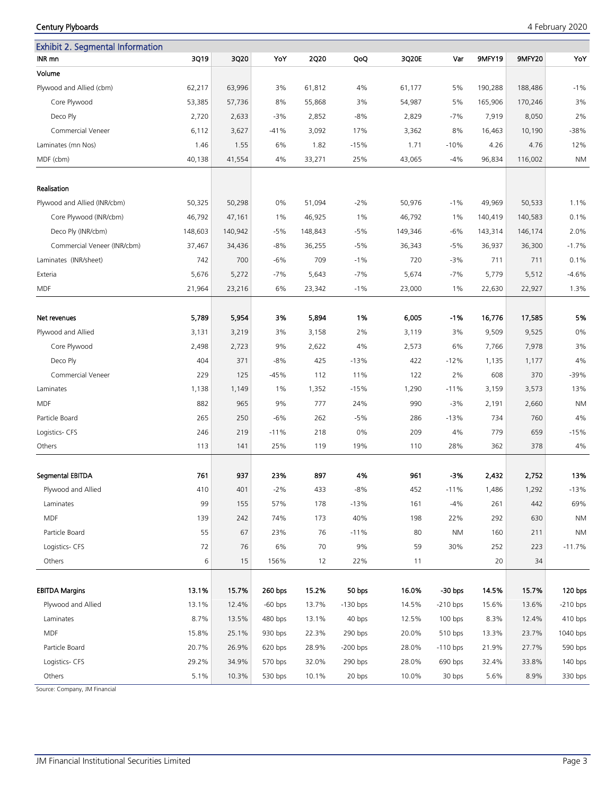Exhibit 2. Segmental Information INR mn 3Q19 3Q20 YoY 2Q20 QoQ 3Q20E Var 9MFY19 9MFY20 YoY Volume Plywood and Allied (cbm) 62,217 63,996 3% 61,812 4% 61,177 5% 190,288 188,486 -1% Core Plywood 53,385 57,736 8% 55,868 3% 54,987 5% 165,906 170,246 3% Deco Ply 2,720 2,633 -3% 2,852 -8% 2,829 -7% 7,919 8,050 2% Commercial Veneer 6,112 3,627 -41% 3,092 17% 3,362 8% 16,463 10,190 -38% Laminates (mn Nos) 1.46 1.55 6% 1.82 -15% 1.71 -10% 4.26 4.76 12% MDF (cbm) 40,138 41,554 4% 33,271 25% 43,065 -4% 96,834 116,002 NM Realisation Plywood and Allied (INR/cbm) 50,325 50,298 50,298 51,094 -2% 50,976 -1% 49,969 50,533 1.11% Core Plywood (INR/cbm) 46,792 47,161 1% 46,925 1% 46,792 1% 140,419 140,583 0.1% Deco Ply (INR/cbm) 148,603 148,603 140,942 -5% 148,843 -5% 149,346 -6% 143,314 146,174 2.0% Commercial Veneer (INR/cbm) 37,467 34,436 -8% 36,255 -5% 36,343 -5% 36,937 36,300 -1.7% Laminates (INR/sheet) 742 700 -6% 709 -1% 720 -3% 711 711 0.1% Exteria 5,676 5,272 -7% 5,643 -7% 5,674 -7% 5,779 5,512 -4.6% MDF 21,964 23,216 6% 23,342 -1% 23,000 1% 22,630 22,927 1.3% Net revenues 5,789 5,954 3% 5,894 1% 6,005 -1% 16,776 17,585 5% Plywood and Allied 3,131 3,219 3% 3,158 2% 3,119 3% 9,509 9,525 0% Core Plywood 2,498 2,723 9% 2,622 4% 2,573 6% 7,766 7,978 3% 096 /1135 - 1990 11/2000 12000 12000 12000 12000 12000 12000 12000 13000 14% 40% 425 -12% 1,177 1200 Commercial Veneer 229 125 -45% 112 11% 122 2% 608 370 -39% Laminates 1,138 1,149 1% 1,352 -15% 1,290 -11% 3,159 3,573 13% MDF 882 965 9% 777 24% 990 -3% 2,191 2,660 NM Particle Board 265 250 -6% 262 -5% 286 -13% 734 760 4% Logistics- CFS 246 219 -11% 218 0% 209 4% 779 659 -15% Others 113 141 25% 119 19% 110 28% 362 378 4% Segmental EBITDA 761 937 23% 897 4% 961 -3% 2,432 2,752 13% Plywood and Allied 410 401 -2% 433 -8% 452 -11% 1,486 1,292 -13% Laminates 99 155 57% 178 -13% 161 -4% 261 442 69% MDF 139 242 74% 173 40% 198 22% 292 630 NM Particle Board 55 67 23% 76 -11% 80 NM 160 211 NM Logistics- CFS 72 76 6% 70 9% 59 30% 252 223 -11.7% Others 6 15 156% 12 22% 11 20 34 EBITDA Margins 13.1% 15.7% *260 bps* 15.2% *50 bps* 16.0% *-30 bps* 14.5% 15.7% *120 bps*  Plywood and Allied 13.1% 12.4% *-60 bps* 13.7% *-130 bps* 14.5% *-210 bps* 15.6% 13.6% *-210 bps* Laminates 8.7% 13.5% *480 bps* 13.1% *40 bps* 12.5% *100 bps* 8.3% 12.4% *410 bps* MDF 15.8% 25.1% *930 bps* 22.3% *290 bps* 20.0% *510 bps* 13.3% 23.7% *1040 bps* Particle Board 20.7% 26.9% *620 bps* 28.9% *-200 bps* 28.0% *-110 bps* 21.9% 27.7% *590 bps* Logistics- CFS 29.2% 34.9% *570 bps* 32.0% *290 bps* 28.0% *690 bps* 32.4% 33.8% *140 bps*

Others 5.1% 10.3% *530 bps* 10.1% *20 bps* 10.0% *30 bps* 5.6% 8.9% *330 bps*

Source: Company, JM Financial

#### Century Plyboards 4 February 2020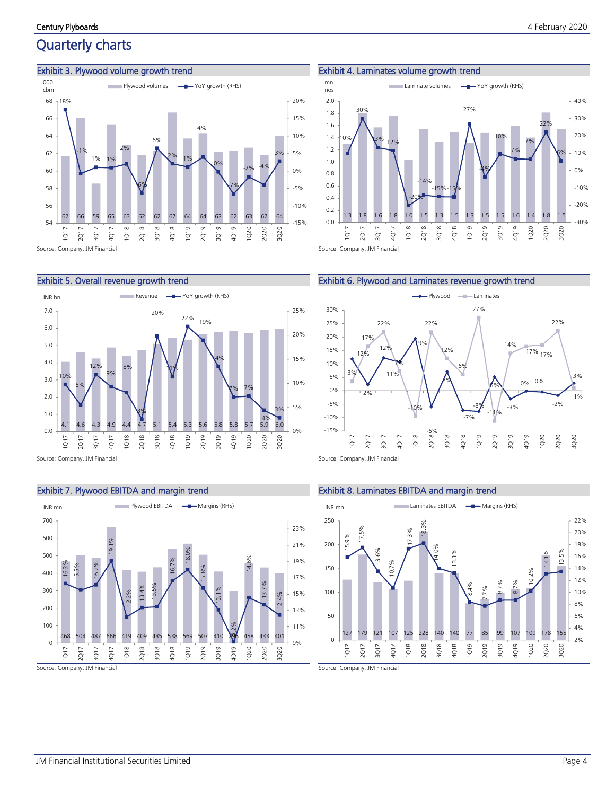### Quarterly charts

### Exhibit 3. Plywood volume growth trend



Exhibit 4. Laminates volume growth trend





#### Exhibit 5. Overall revenue growth trend



Source: Company, JM Financial

### Exhibit 7. Plywood EBITDA and margin trend







Source: Company, JM Financial

### Exhibit 8. Laminates EBITDA and margin trend

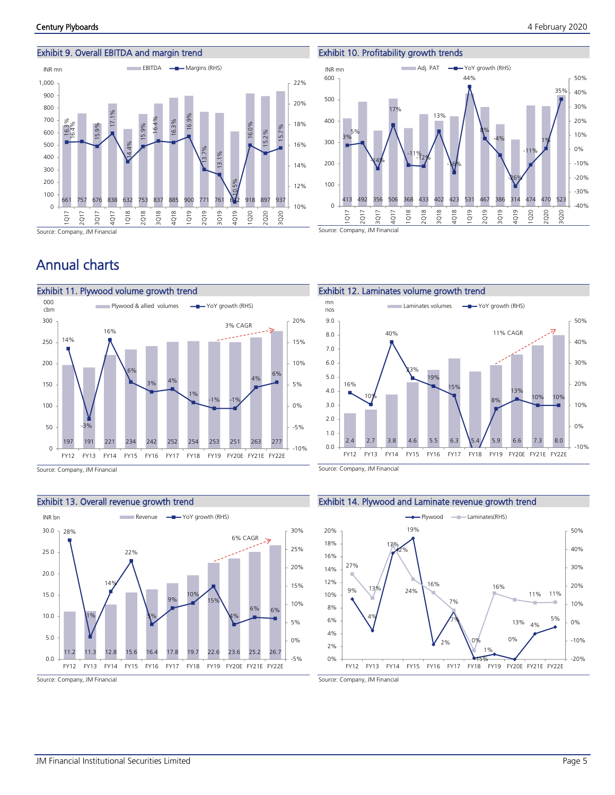### Exhibit 9. Overall EBITDA and margin trend



## Annual charts



Source: Company, JM Financial

### Exhibit 13. Overall revenue growth trend



Source: Company, JM Financial

### Exhibit 10. Profitability growth trends



Source: Company, JM Financial



Source: Company, JM Financial

### Exhibit 14. Plywood and Laminate revenue growth trend



Source: Company, JM Financial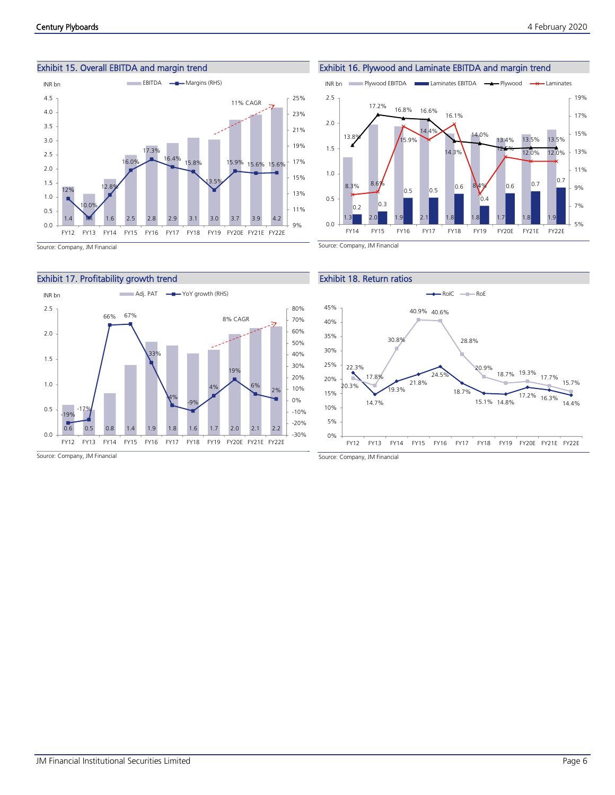

Exhibit 15. Overall EBITDA and margin trend



Source: Company, JM Financial









Source: Company, JM Financial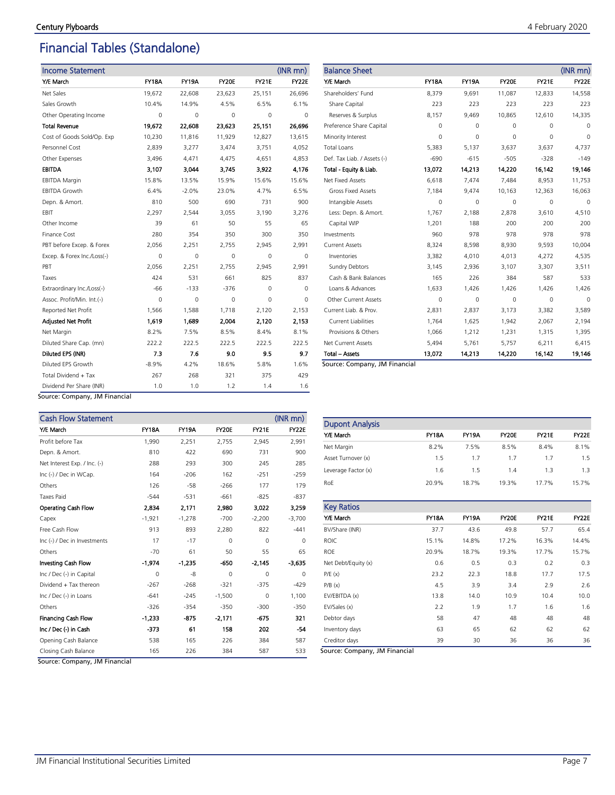### Financial Tables (Standalone)

| <b>Income Statement</b>     |              |              |        |              | $(INR$ mn $)$ |
|-----------------------------|--------------|--------------|--------|--------------|---------------|
| Y/E March                   | <b>FY18A</b> | <b>FY19A</b> | FY20E  | <b>FY21E</b> | FY22E         |
| Net Sales                   | 19,672       | 22,608       | 23,623 | 25,151       | 26,696        |
| Sales Growth                | 10.4%        | 14.9%        | 4.5%   | 6.5%         | 6.1%          |
| Other Operating Income      | 0            | 0            | 0      | 0            | 0             |
| <b>Total Revenue</b>        | 19,672       | 22,608       | 23,623 | 25,151       | 26,696        |
| Cost of Goods Sold/Op. Exp  | 10,230       | 11,816       | 11,929 | 12,827       | 13,615        |
| Personnel Cost              | 2,839        | 3,277        | 3,474  | 3,751        | 4,052         |
| Other Expenses              | 3,496        | 4,471        | 4,475  | 4,651        | 4,853         |
| <b>EBITDA</b>               | 3,107        | 3.044        | 3.745  | 3,922        | 4.176         |
| <b>EBITDA Margin</b>        | 15.8%        | 13.5%        | 15.9%  | 15.6%        | 15.6%         |
| <b>EBITDA Growth</b>        | 6.4%         | $-2.0%$      | 23.0%  | 4.7%         | 6.5%          |
| Depn. & Amort.              | 810          | 500          | 690    | 731          | 900           |
| EBIT                        | 2,297        | 2,544        | 3,055  | 3,190        | 3,276         |
| Other Income                | 39           | 61           | 50     | 55           | 65            |
| Finance Cost                | 280          | 354          | 350    | 300          | 350           |
| PBT before Excep. & Forex   | 2,056        | 2,251        | 2.755  | 2,945        | 2,991         |
| Excep. & Forex Inc./Loss(-) | $\Omega$     | 0            | 0      | $\Omega$     | $\Omega$      |
| PBT                         | 2,056        | 2,251        | 2,755  | 2,945        | 2,991         |
| Taxes                       | 424          | 531          | 661    | 825          | 837           |
| Extraordinary Inc./Loss(-)  | -66          | $-133$       | $-376$ | 0            | $\Omega$      |
| Assoc. Profit/Min. Int.(-)  | $\Omega$     | 0            | 0      | 0            | $\Omega$      |
| Reported Net Profit         | 1,566        | 1,588        | 1,718  | 2,120        | 2,153         |
| <b>Adjusted Net Profit</b>  | 1,619        | 1,689        | 2,004  | 2,120        | 2,153         |
| Net Margin                  | 8.2%         | 7.5%         | 8.5%   | 8.4%         | 8.1%          |
| Diluted Share Cap. (mn)     | 222.2        | 222.5        | 222.5  | 222.5        | 222.5         |
| Diluted EPS (INR)           | 7.3          | 7.6          | 9.0    | 9.5          | 9.7           |
| Diluted EPS Growth          | $-8.9%$      | 4.2%         | 18.6%  | 5.8%         | 1.6%          |
| Total Dividend + Tax        | 267          | 268          | 321    | 375          | 429           |
| Dividend Per Share (INR)    | 1.0          | 1.0          | 1.2    | 1.4          | 1.6           |

| <b>Balance Sheet</b>        |              |              |          |              | $(INR$ mn $)$ |
|-----------------------------|--------------|--------------|----------|--------------|---------------|
| Y/E March                   | <b>FY18A</b> | <b>FY19A</b> | FY20E    | <b>FY21E</b> | FY22E         |
| Shareholders' Fund          | 8,379        | 9,691        | 11,087   | 12,833       | 14,558        |
| Share Capital               | 223          | 223          | 223      | 223          | 223           |
| Reserves & Surplus          | 8,157        | 9,469        | 10,865   | 12,610       | 14,335        |
| Preference Share Capital    | 0            | 0            | $\Omega$ | $\Omega$     | 0             |
| Minority Interest           | $\Omega$     | 0            | $\Omega$ | $\Omega$     | $\Omega$      |
| <b>Total Loans</b>          | 5,383        | 5,137        | 3,637    | 3,637        | 4,737         |
| Def. Tax Liab. / Assets (-) | $-690$       | $-615$       | $-505$   | $-328$       | $-149$        |
| Total - Equity & Liab.      | 13,072       | 14,213       | 14,220   | 16.142       | 19,146        |
| Net Fixed Assets            | 6,618        | 7,474        | 7.484    | 8,953        | 11,753        |
| <b>Gross Fixed Assets</b>   | 7,184        | 9,474        | 10,163   | 12,363       | 16,063        |
| Intangible Assets           | $\Omega$     | 0            | $\Omega$ | $\Omega$     | $\Omega$      |
| Less: Depn. & Amort.        | 1,767        | 2,188        | 2,878    | 3,610        | 4,510         |
| Capital WIP                 | 1,201        | 188          | 200      | 200          | 200           |
| Investments                 | 960          | 978          | 978      | 978          | 978           |
| <b>Current Assets</b>       | 8,324        | 8,598        | 8,930    | 9,593        | 10,004        |
| Inventories                 | 3,382        | 4,010        | 4,013    | 4,272        | 4,535         |
| <b>Sundry Debtors</b>       | 3,145        | 2,936        | 3,107    | 3,307        | 3,511         |
| Cash & Bank Balances        | 165          | 226          | 384      | 587          | 533           |
| Loans & Advances            | 1,633        | 1,426        | 1,426    | 1,426        | 1,426         |
| Other Current Assets        | 0            | 0            | 0        | 0            | $\Omega$      |
| Current Liab. & Prov.       | 2,831        | 2,837        | 3,173    | 3,382        | 3,589         |
| <b>Current Liabilities</b>  | 1,764        | 1,625        | 1,942    | 2,067        | 2,194         |
| Provisions & Others         | 1,066        | 1,212        | 1,231    | 1,315        | 1,395         |
| Net Current Assets          | 5,494        | 5,761        | 5,757    | 6,211        | 6,415         |
| <b>Total - Assets</b>       | 13,072       | 14,213       | 14,220   | 16.142       | 19,146        |

Source: Company, JM Financial

Source: Company, JM Financial

| <b>Cash Flow Statement</b>   |              |              |          |              | (INR mn) |
|------------------------------|--------------|--------------|----------|--------------|----------|
| Y/E March                    | <b>FY18A</b> | <b>FY19A</b> | FY20E    | <b>FY21E</b> | FY22E    |
| Profit before Tax            | 1,990        | 2,251        | 2,755    | 2,945        | 2,991    |
| Depn. & Amort.               | 810          | 422          | 690      | 731          | 900      |
| Net Interest Exp. / Inc. (-) | 288          | 293          | 300      | 245          | 285      |
| Inc (-) / Dec in WCap.       | 164          | $-206$       | 162      | $-251$       | $-259$   |
| Others                       | 126          | $-58$        | $-266$   | 177          | 179      |
| <b>Taxes Paid</b>            | $-544$       | $-531$       | $-661$   | $-825$       | $-837$   |
| Operating Cash Flow          | 2,834        | 2,171        | 2.980    | 3.022        | 3,259    |
| Capex                        | $-1,921$     | $-1,278$     | $-700$   | $-2,200$     | $-3,700$ |
| Free Cash Flow               | 913          | 893          | 2,280    | 822          | $-441$   |
| Inc (-) / Dec in Investments | 17           | $-17$        | $\Omega$ | $\Omega$     | $\Omega$ |
| Others                       | $-70$        | 61           | 50       | 55           | 65       |
| Investing Cash Flow          | $-1,974$     | $-1,235$     | -650     | $-2.145$     | -3,635   |
| Inc / Dec (-) in Capital     | $\mathbf 0$  | -8           | $\Omega$ | $\Omega$     | $\Omega$ |
| Dividend + Tax thereon       | $-267$       | $-268$       | $-321$   | $-375$       | $-429$   |
| Inc / Dec (-) in Loans       | $-641$       | $-245$       | $-1,500$ | 0            | 1,100    |
| Others                       | $-326$       | $-354$       | $-350$   | $-300$       | $-350$   |
| <b>Financing Cash Flow</b>   | $-1,233$     | -875         | $-2.171$ | $-675$       | 321      |
| Inc / Dec (-) in Cash        | -373         | 61           | 158      | 202          | $-54$    |
| Opening Cash Balance         | 538          | 165          | 226      | 384          | 587      |
| Closing Cash Balance         | 165          | 226          | 384      | 587          | 533      |

Dupont Analysis Y/E March FY18A FY19A FY20E FY21E FY22E Net Margin 8.2% 7.5% 8.5% 8.4% 8.1% Asset Turnover (x) 1.5 1.7 1.7 1.7 1.5 Leverage Factor (x) 1.6 1.5 1.4 1.3 1.3 RoE 20.9% 18.7% 19.3% 17.7% 15.7%

| <b>Key Ratios</b>   |              |              |              |              |              |
|---------------------|--------------|--------------|--------------|--------------|--------------|
| Y/E March           | <b>FY18A</b> | <b>FY19A</b> | <b>FY20E</b> | <b>FY21E</b> | <b>FY22E</b> |
| BV/Share (INR)      | 37.7         | 43.6         | 49.8         | 57.7         | 65.4         |
| <b>ROIC</b>         | 15.1%        | 14.8%        | 17.2%        | 16.3%        | 14.4%        |
| <b>ROE</b>          | 20.9%        | 18.7%        | 19.3%        | 17.7%        | 15.7%        |
| Net Debt/Equity (x) | 0.6          | 0.5          | 0.3          | 0.2          | 0.3          |
| P/E(x)              | 23.2         | 22.3         | 18.8         | 17.7         | 17.5         |
| P/B(x)              | 4.5          | 3.9          | 3.4          | 2.9          | 2.6          |
| EV/EBITDA (x)       | 13.8         | 14.0         | 10.9         | 10.4         | 10.0         |
| EV/Sales (x)        | 2.2          | 1.9          | 1.7          | 1.6          | 1.6          |
| Debtor days         | 58           | 47           | 48           | 48           | 48           |
| Inventory days      | 63           | 65           | 62           | 62           | 62           |
| Creditor days       | 39           | 30           | 36           | 36           | 36           |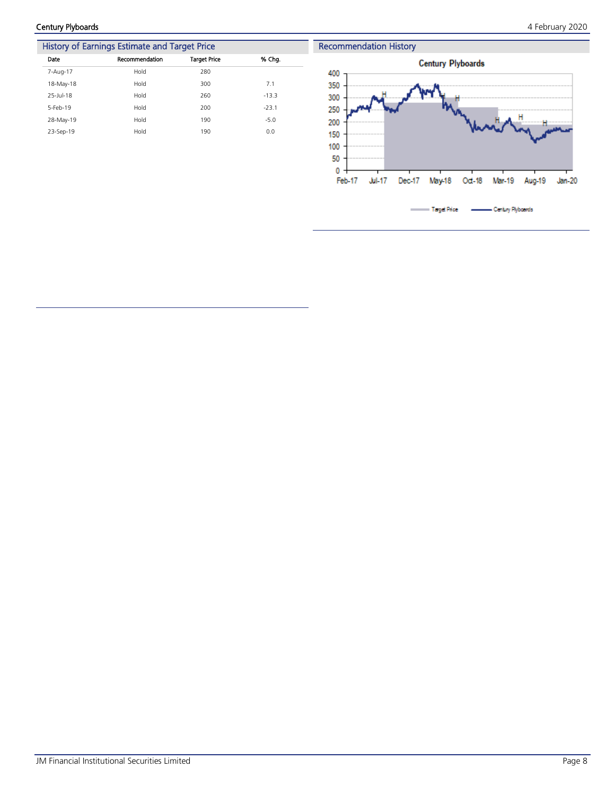Century Plyboards 4 February 2020

|           | History of Earnings Estimate and Target Price |                     |         |
|-----------|-----------------------------------------------|---------------------|---------|
| Date      | Recommendation                                | <b>Target Price</b> | % Cha.  |
| 7-Aug-17  | Hold                                          | 280                 |         |
| 18-May-18 | Hold                                          | 300                 | 7.1     |
| 25-Jul-18 | Hold                                          | 260                 | $-13.3$ |
| 5-Feb-19  | Hold                                          | 200                 | $-23.1$ |
| 28-May-19 | Hold                                          | 190                 | $-5.0$  |
| 23-Sep-19 | Hold                                          | 190                 | 0.0     |

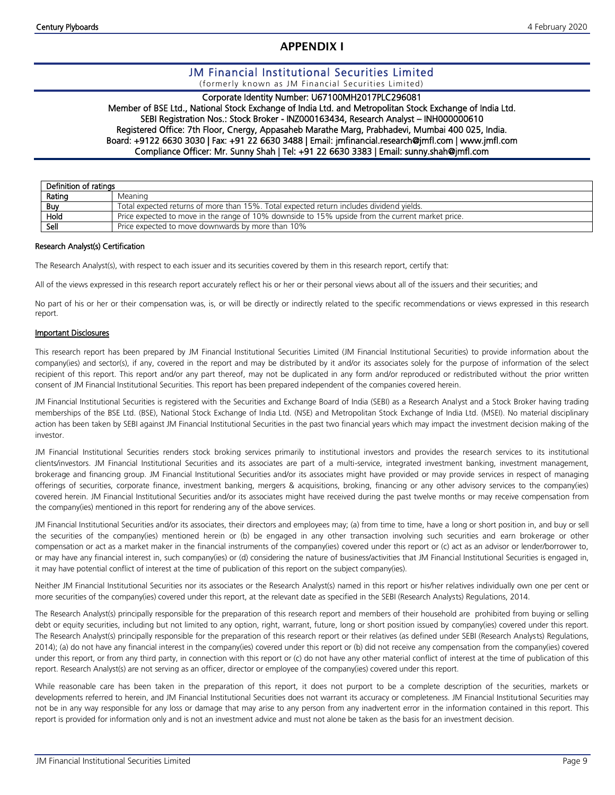### **APPENDIX I**

### JM Financial Institutional Securities Limited

(formerly known as JM Financial Securities Limited)

### Corporate Identity Number: U67100MH2017PLC296081

Member of BSE Ltd., National Stock Exchange of India Ltd. and Metropolitan Stock Exchange of India Ltd. SEBI Registration Nos.: Stock Broker - INZ000163434, Research Analyst – INH000000610 Registered Office: 7th Floor, Cnergy, Appasaheb Marathe Marg, Prabhadevi, Mumbai 400 025, India. Board: +9122 6630 3030 | Fax: +91 22 6630 3488 | Email: jmfinancial.research@jmfl.com | www.jmfl.com Compliance Officer: Mr. Sunny Shah | Tel: +91 22 6630 3383 | Email: sunny.shah@jmfl.com

| Definition of ratings |                                                                                                  |
|-----------------------|--------------------------------------------------------------------------------------------------|
| Rating                | Meaning                                                                                          |
| <b>Buy</b>            | Total expected returns of more than 15%. Total expected return includes dividend yields.         |
| Hold                  | Price expected to move in the range of 10% downside to 15% upside from the current market price. |
| Sell                  | Price expected to move downwards by more than 10%                                                |

### Research Analyst(s) Certification

The Research Analyst(s), with respect to each issuer and its securities covered by them in this research report, certify that:

All of the views expressed in this research report accurately reflect his or her or their personal views about all of the issuers and their securities; and

No part of his or her or their compensation was, is, or will be directly or indirectly related to the specific recommendations or views expressed in this research report.

### Important Disclosures

This research report has been prepared by JM Financial Institutional Securities Limited (JM Financial Institutional Securities) to provide information about the company(ies) and sector(s), if any, covered in the report and may be distributed by it and/or its associates solely for the purpose of information of the select recipient of this report. This report and/or any part thereof, may not be duplicated in any form and/or reproduced or redistributed without the prior written consent of JM Financial Institutional Securities. This report has been prepared independent of the companies covered herein.

JM Financial Institutional Securities is registered with the Securities and Exchange Board of India (SEBI) as a Research Analyst and a Stock Broker having trading memberships of the BSE Ltd. (BSE), National Stock Exchange of India Ltd. (NSE) and Metropolitan Stock Exchange of India Ltd. (MSEI). No material disciplinary action has been taken by SEBI against JM Financial Institutional Securities in the past two financial years which may impact the investment decision making of the investor.

JM Financial Institutional Securities renders stock broking services primarily to institutional investors and provides the research services to its institutional clients/investors. JM Financial Institutional Securities and its associates are part of a multi-service, integrated investment banking, investment management, brokerage and financing group. JM Financial Institutional Securities and/or its associates might have provided or may provide services in respect of managing offerings of securities, corporate finance, investment banking, mergers & acquisitions, broking, financing or any other advisory services to the company(ies) covered herein. JM Financial Institutional Securities and/or its associates might have received during the past twelve months or may receive compensation from the company(ies) mentioned in this report for rendering any of the above services.

JM Financial Institutional Securities and/or its associates, their directors and employees may; (a) from time to time, have a long or short position in, and buy or sell the securities of the company(ies) mentioned herein or (b) be engaged in any other transaction involving such securities and earn brokerage or other compensation or act as a market maker in the financial instruments of the company(ies) covered under this report or (c) act as an advisor or lender/borrower to, or may have any financial interest in, such company(ies) or (d) considering the nature of business/activities that JM Financial Institutional Securities is engaged in, it may have potential conflict of interest at the time of publication of this report on the subject company(ies).

Neither JM Financial Institutional Securities nor its associates or the Research Analyst(s) named in this report or his/her relatives individually own one per cent or more securities of the company(ies) covered under this report, at the relevant date as specified in the SEBI (Research Analysts) Regulations, 2014.

The Research Analyst(s) principally responsible for the preparation of this research report and members of their household are prohibited from buying or selling debt or equity securities, including but not limited to any option, right, warrant, future, long or short position issued by company(ies) covered under this report. The Research Analyst(s) principally responsible for the preparation of this research report or their relatives (as defined under SEBI (Research Analysts) Regulations, 2014); (a) do not have any financial interest in the company(ies) covered under this report or (b) did not receive any compensation from the company(ies) covered under this report, or from any third party, in connection with this report or (c) do not have any other material conflict of interest at the time of publication of this report. Research Analyst(s) are not serving as an officer, director or employee of the company(ies) covered under this report.

While reasonable care has been taken in the preparation of this report, it does not purport to be a complete description of the securities, markets or developments referred to herein, and JM Financial Institutional Securities does not warrant its accuracy or completeness. JM Financial Institutional Securities may not be in any way responsible for any loss or damage that may arise to any person from any inadvertent error in the information contained in this report. This report is provided for information only and is not an investment advice and must not alone be taken as the basis for an investment decision.